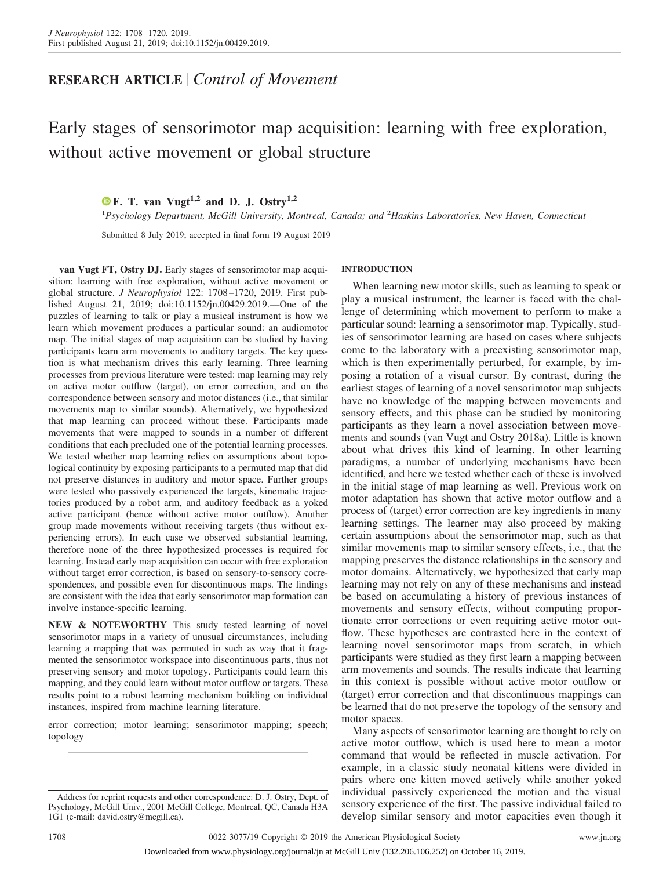## **RESEARCH ARTICLE** *Control of Movement*

# Early stages of sensorimotor map acquisition: learning with free exploration, without active movement or global structure

### **X [F. T. van Vugt](https://orcid.org/0000-0003-1739-0175)1,2 and D. J. Ostry1,2**

1 *Psychology Department, McGill University, Montreal, Canada; and* <sup>2</sup> *Haskins Laboratories, New Haven, Connecticut*

Submitted 8 July 2019; accepted in final form 19 August 2019

**van Vugt FT, Ostry DJ.** Early stages of sensorimotor map acquisition: learning with free exploration, without active movement or global structure. *J Neurophysiol* 122: 1708 –1720, 2019. First published August 21, 2019; doi[:10.1152/jn.00429.2019.](http://doi.org/10.1152/jn.00429.2019)—One of the puzzles of learning to talk or play a musical instrument is how we learn which movement produces a particular sound: an audiomotor map. The initial stages of map acquisition can be studied by having participants learn arm movements to auditory targets. The key question is what mechanism drives this early learning. Three learning processes from previous literature were tested: map learning may rely on active motor outflow (target), on error correction, and on the correspondence between sensory and motor distances (i.e., that similar movements map to similar sounds). Alternatively, we hypothesized that map learning can proceed without these. Participants made movements that were mapped to sounds in a number of different conditions that each precluded one of the potential learning processes. We tested whether map learning relies on assumptions about topological continuity by exposing participants to a permuted map that did not preserve distances in auditory and motor space. Further groups were tested who passively experienced the targets, kinematic trajectories produced by a robot arm, and auditory feedback as a yoked active participant (hence without active motor outflow). Another group made movements without receiving targets (thus without experiencing errors). In each case we observed substantial learning, therefore none of the three hypothesized processes is required for learning. Instead early map acquisition can occur with free exploration without target error correction, is based on sensory-to-sensory correspondences, and possible even for discontinuous maps. The findings are consistent with the idea that early sensorimotor map formation can involve instance-specific learning.

**NEW & NOTEWORTHY** This study tested learning of novel sensorimotor maps in a variety of unusual circumstances, including learning a mapping that was permuted in such as way that it fragmented the sensorimotor workspace into discontinuous parts, thus not preserving sensory and motor topology. Participants could learn this mapping, and they could learn without motor outflow or targets. These results point to a robust learning mechanism building on individual instances, inspired from machine learning literature.

error correction; motor learning; sensorimotor mapping; speech; topology

#### **INTRODUCTION**

When learning new motor skills, such as learning to speak or play a musical instrument, the learner is faced with the challenge of determining which movement to perform to make a particular sound: learning a sensorimotor map. Typically, studies of sensorimotor learning are based on cases where subjects come to the laboratory with a preexisting sensorimotor map, which is then experimentally perturbed, for example, by imposing a rotation of a visual cursor. By contrast, during the earliest stages of learning of a novel sensorimotor map subjects have no knowledge of the mapping between movements and sensory effects, and this phase can be studied by monitoring participants as they learn a novel association between movements and sounds (van Vugt and Ostry 2018a). Little is known about what drives this kind of learning. In other learning paradigms, a number of underlying mechanisms have been identified, and here we tested whether each of these is involved in the initial stage of map learning as well. Previous work on motor adaptation has shown that active motor outflow and a process of (target) error correction are key ingredients in many learning settings. The learner may also proceed by making certain assumptions about the sensorimotor map, such as that similar movements map to similar sensory effects, i.e., that the mapping preserves the distance relationships in the sensory and motor domains. Alternatively, we hypothesized that early map learning may not rely on any of these mechanisms and instead be based on accumulating a history of previous instances of movements and sensory effects, without computing proportionate error corrections or even requiring active motor outflow. These hypotheses are contrasted here in the context of learning novel sensorimotor maps from scratch, in which participants were studied as they first learn a mapping between arm movements and sounds. The results indicate that learning in this context is possible without active motor outflow or (target) error correction and that discontinuous mappings can be learned that do not preserve the topology of the sensory and motor spaces.

Many aspects of sensorimotor learning are thought to rely on active motor outflow, which is used here to mean a motor command that would be reflected in muscle activation. For example, in a classic study neonatal kittens were divided in pairs where one kitten moved actively while another yoked individual passively experienced the motion and the visual sensory experience of the first. The passive individual failed to develop similar sensory and motor capacities even though it

Address for reprint requests and other correspondence: D. J. Ostry, Dept. of Psychology, McGill Univ., 2001 McGill College, Montreal, QC, Canada H3A 1G1 (e-mail: [david.ostry@mcgill.ca\)](mailto:david.ostry@mcgill.ca).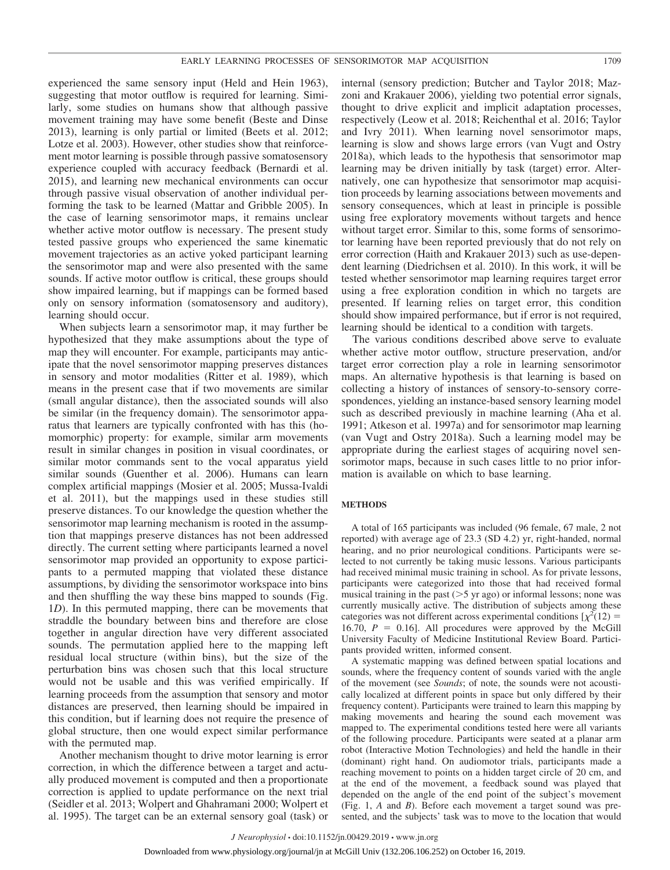experienced the same sensory input (Held and Hein 1963), suggesting that motor outflow is required for learning. Similarly, some studies on humans show that although passive movement training may have some benefit (Beste and Dinse 2013), learning is only partial or limited (Beets et al. 2012; Lotze et al. 2003). However, other studies show that reinforcement motor learning is possible through passive somatosensory experience coupled with accuracy feedback (Bernardi et al. 2015), and learning new mechanical environments can occur through passive visual observation of another individual performing the task to be learned (Mattar and Gribble 2005). In the case of learning sensorimotor maps, it remains unclear whether active motor outflow is necessary. The present study tested passive groups who experienced the same kinematic movement trajectories as an active yoked participant learning the sensorimotor map and were also presented with the same sounds. If active motor outflow is critical, these groups should show impaired learning, but if mappings can be formed based only on sensory information (somatosensory and auditory), learning should occur.

When subjects learn a sensorimotor map, it may further be hypothesized that they make assumptions about the type of map they will encounter. For example, participants may anticipate that the novel sensorimotor mapping preserves distances in sensory and motor modalities (Ritter et al. 1989), which means in the present case that if two movements are similar (small angular distance), then the associated sounds will also be similar (in the frequency domain). The sensorimotor apparatus that learners are typically confronted with has this (homomorphic) property: for example, similar arm movements result in similar changes in position in visual coordinates, or similar motor commands sent to the vocal apparatus yield similar sounds (Guenther et al. 2006). Humans can learn complex artificial mappings (Mosier et al. 2005; Mussa-Ivaldi et al. 2011), but the mappings used in these studies still preserve distances. To our knowledge the question whether the sensorimotor map learning mechanism is rooted in the assumption that mappings preserve distances has not been addressed directly. The current setting where participants learned a novel sensorimotor map provided an opportunity to expose participants to a permuted mapping that violated these distance assumptions, by dividing the sensorimotor workspace into bins and then shuffling the way these bins mapped to sounds (Fig. 1*D*). In this permuted mapping, there can be movements that straddle the boundary between bins and therefore are close together in angular direction have very different associated sounds. The permutation applied here to the mapping left residual local structure (within bins), but the size of the perturbation bins was chosen such that this local structure would not be usable and this was verified empirically. If learning proceeds from the assumption that sensory and motor distances are preserved, then learning should be impaired in this condition, but if learning does not require the presence of global structure, then one would expect similar performance with the permuted map.

Another mechanism thought to drive motor learning is error correction, in which the difference between a target and actually produced movement is computed and then a proportionate correction is applied to update performance on the next trial (Seidler et al. 2013; Wolpert and Ghahramani 2000; Wolpert et al. 1995). The target can be an external sensory goal (task) or

internal (sensory prediction; Butcher and Taylor 2018; Mazzoni and Krakauer 2006), yielding two potential error signals, thought to drive explicit and implicit adaptation processes, respectively (Leow et al. 2018; Reichenthal et al. 2016; Taylor and Ivry 2011). When learning novel sensorimotor maps, learning is slow and shows large errors (van Vugt and Ostry 2018a), which leads to the hypothesis that sensorimotor map learning may be driven initially by task (target) error. Alternatively, one can hypothesize that sensorimotor map acquisition proceeds by learning associations between movements and sensory consequences, which at least in principle is possible using free exploratory movements without targets and hence without target error. Similar to this, some forms of sensorimotor learning have been reported previously that do not rely on error correction (Haith and Krakauer 2013) such as use-dependent learning (Diedrichsen et al. 2010). In this work, it will be tested whether sensorimotor map learning requires target error using a free exploration condition in which no targets are presented. If learning relies on target error, this condition should show impaired performance, but if error is not required, learning should be identical to a condition with targets.

The various conditions described above serve to evaluate whether active motor outflow, structure preservation, and/or target error correction play a role in learning sensorimotor maps. An alternative hypothesis is that learning is based on collecting a history of instances of sensory-to-sensory correspondences, yielding an instance-based sensory learning model such as described previously in machine learning (Aha et al. 1991; Atkeson et al. 1997a) and for sensorimotor map learning (van Vugt and Ostry 2018a). Such a learning model may be appropriate during the earliest stages of acquiring novel sensorimotor maps, because in such cases little to no prior information is available on which to base learning.

#### **METHODS**

A total of 165 participants was included (96 female, 67 male, 2 not reported) with average age of 23.3 (SD 4.2) yr, right-handed, normal hearing, and no prior neurological conditions. Participants were selected to not currently be taking music lessons. Various participants had received minimal music training in school. As for private lessons, participants were categorized into those that had received formal musical training in the past  $($ >5 yr ago) or informal lessons; none was currently musically active. The distribution of subjects among these categories was not different across experimental conditions  $\chi^2(12)$  = 16.70,  $P = 0.16$ ]. All procedures were approved by the McGill University Faculty of Medicine Institutional Review Board. Participants provided written, informed consent.

A systematic mapping was defined between spatial locations and sounds, where the frequency content of sounds varied with the angle of the movement (see *Sounds*; of note, the sounds were not acoustically localized at different points in space but only differed by their frequency content). Participants were trained to learn this mapping by making movements and hearing the sound each movement was mapped to. The experimental conditions tested here were all variants of the following procedure. Participants were seated at a planar arm robot (Interactive Motion Technologies) and held the handle in their (dominant) right hand. On audiomotor trials, participants made a reaching movement to points on a hidden target circle of 20 cm, and at the end of the movement, a feedback sound was played that depended on the angle of the end point of the subject's movement (Fig. 1, *A* and *B*). Before each movement a target sound was presented, and the subjects' task was to move to the location that would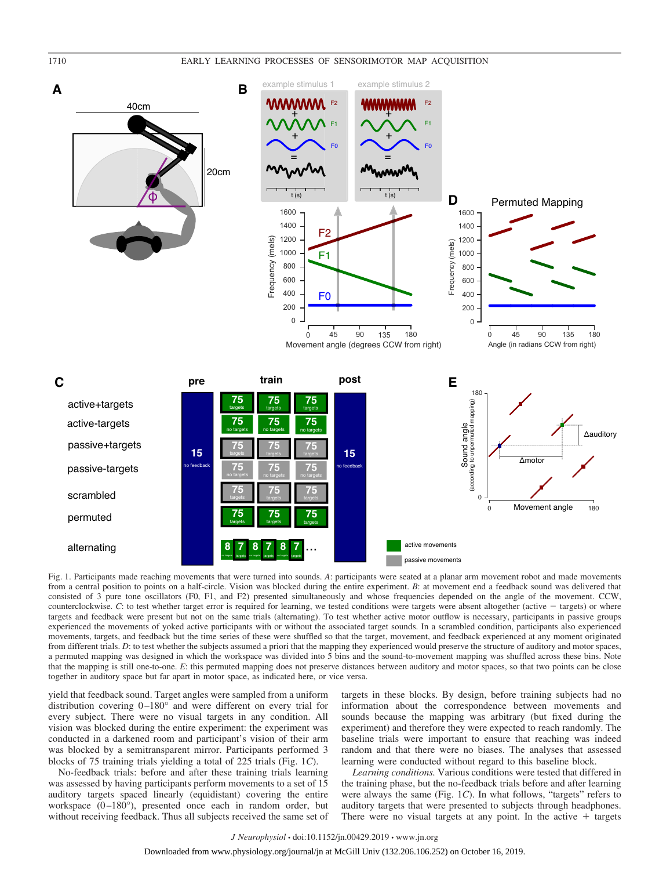

Fig. 1. Participants made reaching movements that were turned into sounds. *A*: participants were seated at a planar arm movement robot and made movements from a central position to points on a half-circle. Vision was blocked during the entire experiment. *B*: at movement end a feedback sound was delivered that consisted of 3 pure tone oscillators (F0, F1, and F2) presented simultaneously and whose frequencies depended on the angle of the movement. CCW, counterclockwise. *C*: to test whether target error is required for learning, we tested conditions were targets were absent altogether (active  $-$  targets) or where targets and feedback were present but not on the same trials (alternating). To test whether active motor outflow is necessary, participants in passive groups experienced the movements of yoked active participants with or without the associated target sounds. In a scrambled condition, participants also experienced movements, targets, and feedback but the time series of these were shuffled so that the target, movement, and feedback experienced at any moment originated from different trials. *D*: to test whether the subjects assumed a priori that the mapping they experienced would preserve the structure of auditory and motor spaces, a permuted mapping was designed in which the workspace was divided into 5 bins and the sound-to-movement mapping was shuffled across these bins. Note that the mapping is still one-to-one. *E*: this permuted mapping does not preserve distances between auditory and motor spaces, so that two points can be close together in auditory space but far apart in motor space, as indicated here, or vice versa.

yield that feedback sound. Target angles were sampled from a uniform distribution covering 0-180° and were different on every trial for every subject. There were no visual targets in any condition. All vision was blocked during the entire experiment: the experiment was conducted in a darkened room and participant's vision of their arm was blocked by a semitransparent mirror. Participants performed 3 blocks of 75 training trials yielding a total of 225 trials (Fig. 1*C*).

No-feedback trials: before and after these training trials learning was assessed by having participants perform movements to a set of 15 auditory targets spaced linearly (equidistant) covering the entire workspace  $(0-180^{\circ})$ , presented once each in random order, but without receiving feedback. Thus all subjects received the same set of targets in these blocks. By design, before training subjects had no information about the correspondence between movements and sounds because the mapping was arbitrary (but fixed during the experiment) and therefore they were expected to reach randomly. The baseline trials were important to ensure that reaching was indeed random and that there were no biases. The analyses that assessed learning were conducted without regard to this baseline block.

*Learning conditions.* Various conditions were tested that differed in the training phase, but the no-feedback trials before and after learning were always the same (Fig. 1*C*). In what follows, "targets" refers to auditory targets that were presented to subjects through headphones. There were no visual targets at any point. In the active  $+$  targets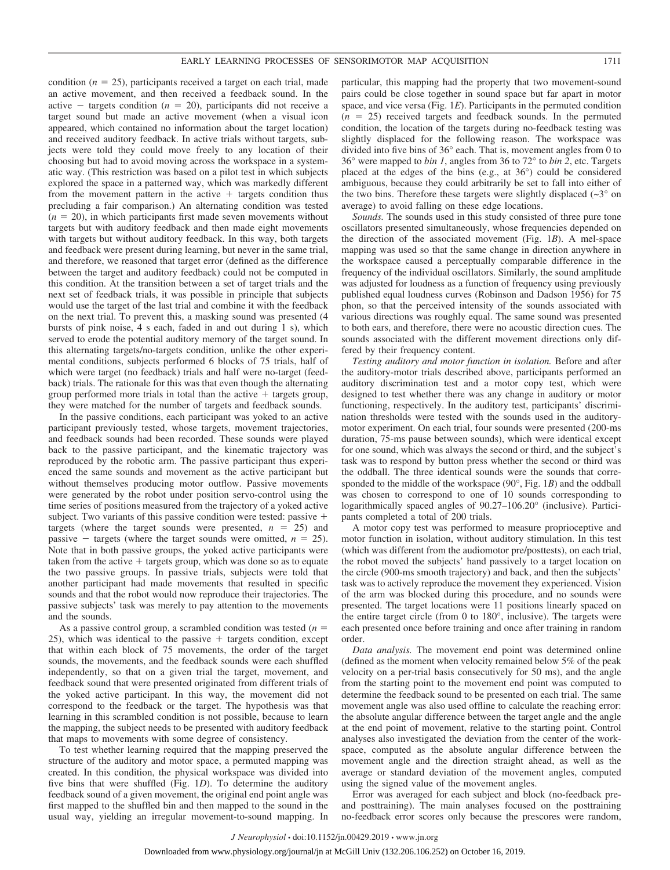condition ( $n = 25$ ), participants received a target on each trial, made an active movement, and then received a feedback sound. In the active  $-$  targets condition ( $n = 20$ ), participants did not receive a target sound but made an active movement (when a visual icon appeared, which contained no information about the target location) and received auditory feedback. In active trials without targets, subjects were told they could move freely to any location of their choosing but had to avoid moving across the workspace in a systematic way. (This restriction was based on a pilot test in which subjects explored the space in a patterned way, which was markedly different from the movement pattern in the active  $+$  targets condition thus precluding a fair comparison.) An alternating condition was tested  $(n = 20)$ , in which participants first made seven movements without targets but with auditory feedback and then made eight movements with targets but without auditory feedback. In this way, both targets and feedback were present during learning, but never in the same trial, and therefore, we reasoned that target error (defined as the difference between the target and auditory feedback) could not be computed in this condition. At the transition between a set of target trials and the next set of feedback trials, it was possible in principle that subjects would use the target of the last trial and combine it with the feedback on the next trial. To prevent this, a masking sound was presented (4 bursts of pink noise, 4 s each, faded in and out during 1 s), which served to erode the potential auditory memory of the target sound. In this alternating targets/no-targets condition, unlike the other experimental conditions, subjects performed 6 blocks of 75 trials, half of which were target (no feedback) trials and half were no-target (feedback) trials. The rationale for this was that even though the alternating group performed more trials in total than the active  $+$  targets group, they were matched for the number of targets and feedback sounds.

In the passive conditions, each participant was yoked to an active participant previously tested, whose targets, movement trajectories, and feedback sounds had been recorded. These sounds were played back to the passive participant, and the kinematic trajectory was reproduced by the robotic arm. The passive participant thus experienced the same sounds and movement as the active participant but without themselves producing motor outflow. Passive movements were generated by the robot under position servo-control using the time series of positions measured from the trajectory of a yoked active subject. Two variants of this passive condition were tested: passive  $+$ targets (where the target sounds were presented,  $n = 25$ ) and passive  $-$  targets (where the target sounds were omitted,  $n = 25$ ). Note that in both passive groups, the yoked active participants were taken from the active  $+$  targets group, which was done so as to equate the two passive groups. In passive trials, subjects were told that another participant had made movements that resulted in specific sounds and that the robot would now reproduce their trajectories. The passive subjects' task was merely to pay attention to the movements and the sounds.

As a passive control group, a scrambled condition was tested (*n*  $25$ ), which was identical to the passive  $+$  targets condition, except that within each block of 75 movements, the order of the target sounds, the movements, and the feedback sounds were each shuffled independently, so that on a given trial the target, movement, and feedback sound that were presented originated from different trials of the yoked active participant. In this way, the movement did not correspond to the feedback or the target. The hypothesis was that learning in this scrambled condition is not possible, because to learn the mapping, the subject needs to be presented with auditory feedback that maps to movements with some degree of consistency.

To test whether learning required that the mapping preserved the structure of the auditory and motor space, a permuted mapping was created. In this condition, the physical workspace was divided into five bins that were shuffled (Fig. 1*D*). To determine the auditory feedback sound of a given movement, the original end point angle was first mapped to the shuffled bin and then mapped to the sound in the usual way, yielding an irregular movement-to-sound mapping. In

particular, this mapping had the property that two movement-sound pairs could be close together in sound space but far apart in motor space, and vice versa (Fig. 1*E*). Participants in the permuted condition  $(n = 25)$  received targets and feedback sounds. In the permuted condition, the location of the targets during no-feedback testing was slightly displaced for the following reason. The workspace was divided into five bins of 36° each. That is, movement angles from 0 to 36° were mapped to *bin 1*, angles from 36 to 72° to *bin 2*, etc. Targets placed at the edges of the bins (e.g., at 36°) could be considered ambiguous, because they could arbitrarily be set to fall into either of the two bins. Therefore these targets were slightly displaced  $(\sim 3^{\circ}$  on average) to avoid falling on these edge locations.

*Sounds.* The sounds used in this study consisted of three pure tone oscillators presented simultaneously, whose frequencies depended on the direction of the associated movement (Fig. 1*B*). A mel-space mapping was used so that the same change in direction anywhere in the workspace caused a perceptually comparable difference in the frequency of the individual oscillators. Similarly, the sound amplitude was adjusted for loudness as a function of frequency using previously published equal loudness curves (Robinson and Dadson 1956) for 75 phon, so that the perceived intensity of the sounds associated with various directions was roughly equal. The same sound was presented to both ears, and therefore, there were no acoustic direction cues. The sounds associated with the different movement directions only differed by their frequency content.

*Testing auditory and motor function in isolation.* Before and after the auditory-motor trials described above, participants performed an auditory discrimination test and a motor copy test, which were designed to test whether there was any change in auditory or motor functioning, respectively. In the auditory test, participants' discrimination thresholds were tested with the sounds used in the auditorymotor experiment. On each trial, four sounds were presented (200-ms duration, 75-ms pause between sounds), which were identical except for one sound, which was always the second or third, and the subject's task was to respond by button press whether the second or third was the oddball. The three identical sounds were the sounds that corresponded to the middle of the workspace (90°, Fig. 1*B*) and the oddball was chosen to correspond to one of 10 sounds corresponding to logarithmically spaced angles of 90.27–106.20° (inclusive). Participants completed a total of 200 trials.

A motor copy test was performed to measure proprioceptive and motor function in isolation, without auditory stimulation. In this test (which was different from the audiomotor pre/posttests), on each trial, the robot moved the subjects' hand passively to a target location on the circle (900-ms smooth trajectory) and back, and then the subjects' task was to actively reproduce the movement they experienced. Vision of the arm was blocked during this procedure, and no sounds were presented. The target locations were 11 positions linearly spaced on the entire target circle (from 0 to 180°, inclusive). The targets were each presented once before training and once after training in random order.

*Data analysis.* The movement end point was determined online (defined as the moment when velocity remained below 5% of the peak velocity on a per-trial basis consecutively for 50 ms), and the angle from the starting point to the movement end point was computed to determine the feedback sound to be presented on each trial. The same movement angle was also used offline to calculate the reaching error: the absolute angular difference between the target angle and the angle at the end point of movement, relative to the starting point. Control analyses also investigated the deviation from the center of the workspace, computed as the absolute angular difference between the movement angle and the direction straight ahead, as well as the average or standard deviation of the movement angles, computed using the signed value of the movement angles.

Error was averaged for each subject and block (no-feedback preand posttraining). The main analyses focused on the posttraining no-feedback error scores only because the prescores were random,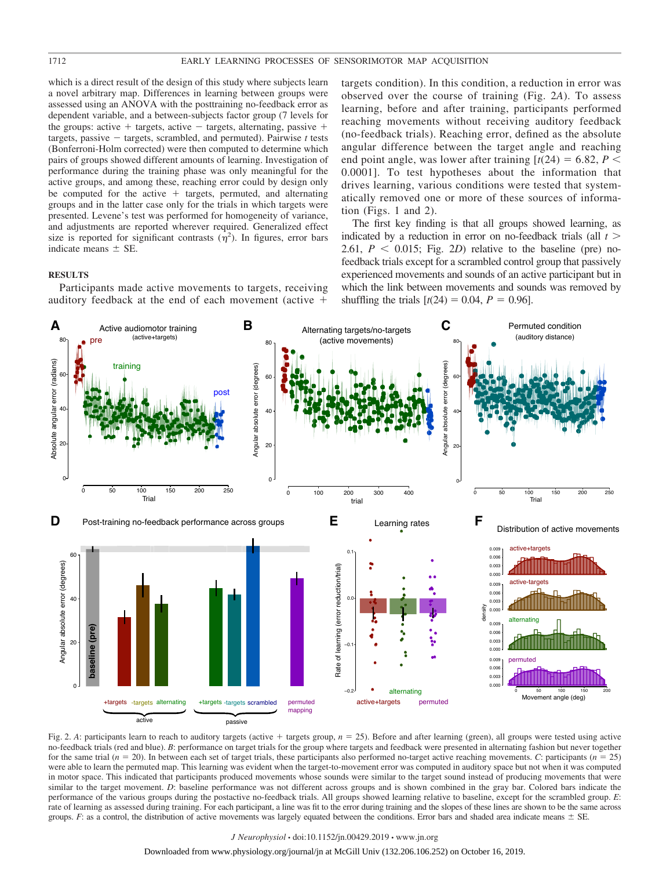which is a direct result of the design of this study where subjects learn a novel arbitrary map. Differences in learning between groups were assessed using an ANOVA with the posttraining no-feedback error as dependent variable, and a between-subjects factor group (7 levels for the groups: active  $+$  targets, active  $-$  targets, alternating, passive  $+$ targets, passive  $-$  targets, scrambled, and permuted). Pairwise  $t$  tests (Bonferroni-Holm corrected) were then computed to determine which pairs of groups showed different amounts of learning. Investigation of performance during the training phase was only meaningful for the active groups, and among these, reaching error could by design only be computed for the active  $+$  targets, permuted, and alternating groups and in the latter case only for the trials in which targets were presented. Levene's test was performed for homogeneity of variance, and adjustments are reported wherever required. Generalized effect size is reported for significant contrasts  $(\eta^2)$ . In figures, error bars indicate means  $\pm$  SE.

#### **RESULTS**

Participants made active movements to targets, receiving auditory feedback at the end of each movement (active

targets condition). In this condition, a reduction in error was observed over the course of training (Fig. 2*A*). To assess learning, before and after training, participants performed reaching movements without receiving auditory feedback (no-feedback trials). Reaching error, defined as the absolute angular difference between the target angle and reaching end point angle, was lower after training  $[t(24) = 6.82, P <$ 0.0001]. To test hypotheses about the information that drives learning, various conditions were tested that systematically removed one or more of these sources of information (Figs. 1 and 2).

The first key finding is that all groups showed learning, as indicated by a reduction in error on no-feedback trials (all  $t >$ 2.61,  $P < 0.015$ ; Fig. 2*D*) relative to the baseline (pre) nofeedback trials except for a scrambled control group that passively experienced movements and sounds of an active participant but in which the link between movements and sounds was removed by shuffling the trials  $[t(24) = 0.04, P = 0.96]$ .



Fig. 2. A: participants learn to reach to auditory targets (active  $+$  targets group,  $n = 25$ ). Before and after learning (green), all groups were tested using active no-feedback trials (red and blue). *B*: performance on target trials for the group where targets and feedback were presented in alternating fashion but never together for the same trial  $(n = 20)$ . In between each set of target trials, these participants also performed no-target active reaching movements. *C*: participants  $(n = 25)$ were able to learn the permuted map. This learning was evident when the target-to-movement error was computed in auditory space but not when it was computed in motor space. This indicated that participants produced movements whose sounds were similar to the target sound instead of producing movements that were similar to the target movement. *D*: baseline performance was not different across groups and is shown combined in the gray bar. Colored bars indicate the performance of the various groups during the postactive no-feedback trials. All groups showed learning relative to baseline, except for the scrambled group. *E*: rate of learning as assessed during training. For each participant, a line was fit to the error during training and the slopes of these lines are shown to be the same across groups.  $F$ : as a control, the distribution of active movements was largely equated between the conditions. Error bars and shaded area indicate means  $\pm$  SE.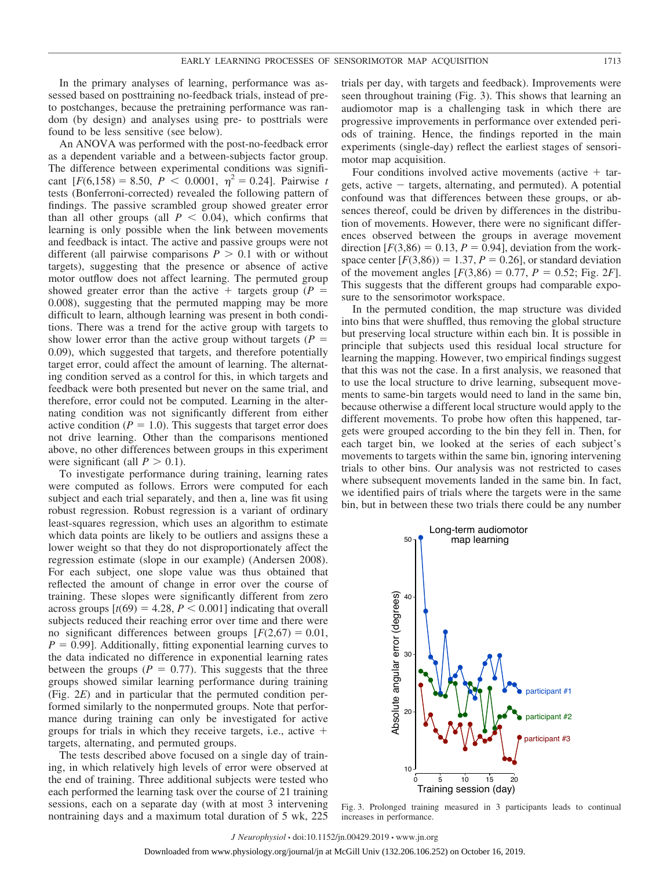In the primary analyses of learning, performance was assessed based on posttraining no-feedback trials, instead of preto postchanges, because the pretraining performance was random (by design) and analyses using pre- to posttrials were found to be less sensitive (see below).

An ANOVA was performed with the post-no-feedback error as a dependent variable and a between-subjects factor group. The difference between experimental conditions was significant  $[F(6,158) = 8.50, P < 0.0001, \eta^2 = 0.24]$ . Pairwise *t* tests (Bonferroni-corrected) revealed the following pattern of findings. The passive scrambled group showed greater error than all other groups (all  $P < 0.04$ ), which confirms that learning is only possible when the link between movements and feedback is intact. The active and passive groups were not different (all pairwise comparisons  $P > 0.1$  with or without targets), suggesting that the presence or absence of active motor outflow does not affect learning. The permuted group showed greater error than the active  $+$  targets group ( $P =$ 0.008), suggesting that the permuted mapping may be more difficult to learn, although learning was present in both conditions. There was a trend for the active group with targets to show lower error than the active group without targets ( $P =$ 0.09), which suggested that targets, and therefore potentially target error, could affect the amount of learning. The alternating condition served as a control for this, in which targets and feedback were both presented but never on the same trial, and therefore, error could not be computed. Learning in the alternating condition was not significantly different from either active condition ( $P = 1.0$ ). This suggests that target error does not drive learning. Other than the comparisons mentioned above, no other differences between groups in this experiment were significant (all  $P > 0.1$ ).

To investigate performance during training, learning rates were computed as follows. Errors were computed for each subject and each trial separately, and then a, line was fit using robust regression. Robust regression is a variant of ordinary least-squares regression, which uses an algorithm to estimate which data points are likely to be outliers and assigns these a lower weight so that they do not disproportionately affect the regression estimate (slope in our example) (Andersen 2008). For each subject, one slope value was thus obtained that reflected the amount of change in error over the course of training. These slopes were significantly different from zero across groups  $[t(69) = 4.28, P < 0.001]$  indicating that overall subjects reduced their reaching error over time and there were no significant differences between groups  $[F(2,67) = 0.01]$ ,  $P = 0.99$ ]. Additionally, fitting exponential learning curves to the data indicated no difference in exponential learning rates between the groups ( $P = 0.77$ ). This suggests that the three groups showed similar learning performance during training (Fig. 2*E*) and in particular that the permuted condition performed similarly to the nonpermuted groups. Note that performance during training can only be investigated for active groups for trials in which they receive targets, i.e., active  $+$ targets, alternating, and permuted groups.

The tests described above focused on a single day of training, in which relatively high levels of error were observed at the end of training. Three additional subjects were tested who each performed the learning task over the course of 21 training sessions, each on a separate day (with at most 3 intervening nontraining days and a maximum total duration of 5 wk, 225

trials per day, with targets and feedback). Improvements were seen throughout training (Fig. 3). This shows that learning an audiomotor map is a challenging task in which there are progressive improvements in performance over extended periods of training. Hence, the findings reported in the main experiments (single-day) reflect the earliest stages of sensorimotor map acquisition.

Four conditions involved active movements (active  $+$  targets, active  $-$  targets, alternating, and permuted). A potential confound was that differences between these groups, or absences thereof, could be driven by differences in the distribution of movements. However, there were no significant differences observed between the groups in average movement direction  $[F(3,86) = 0.13, P = 0.94]$ , deviation from the workspace center  $[F(3,86)] = 1.37, P = 0.26$ , or standard deviation of the movement angles  $[F(3,86) = 0.77, P = 0.52; Fig. 2F]$ . This suggests that the different groups had comparable exposure to the sensorimotor workspace.

In the permuted condition, the map structure was divided into bins that were shuffled, thus removing the global structure but preserving local structure within each bin. It is possible in principle that subjects used this residual local structure for learning the mapping. However, two empirical findings suggest that this was not the case. In a first analysis, we reasoned that to use the local structure to drive learning, subsequent movements to same-bin targets would need to land in the same bin, because otherwise a different local structure would apply to the different movements. To probe how often this happened, targets were grouped according to the bin they fell in. Then, for each target bin, we looked at the series of each subject's movements to targets within the same bin, ignoring intervening trials to other bins. Our analysis was not restricted to cases where subsequent movements landed in the same bin. In fact, we identified pairs of trials where the targets were in the same bin, but in between these two trials there could be any number



Fig. 3. Prolonged training measured in 3 participants leads to continual increases in performance.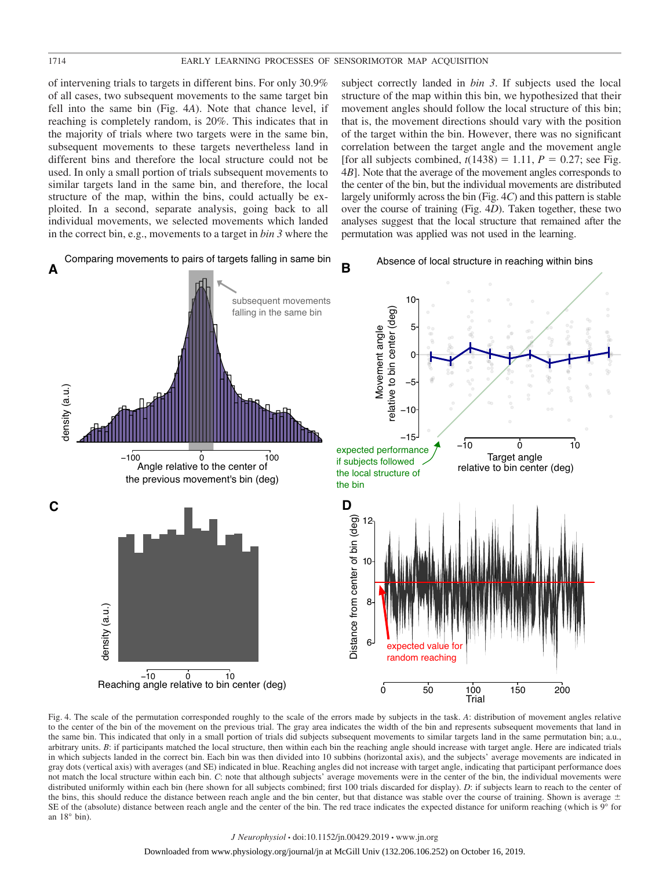of intervening trials to targets in different bins. For only 30.9% of all cases, two subsequent movements to the same target bin fell into the same bin (Fig. 4*A*). Note that chance level, if reaching is completely random, is 20%. This indicates that in the majority of trials where two targets were in the same bin, subsequent movements to these targets nevertheless land in different bins and therefore the local structure could not be used. In only a small portion of trials subsequent movements to similar targets land in the same bin, and therefore, the local structure of the map, within the bins, could actually be exploited. In a second, separate analysis, going back to all individual movements, we selected movements which landed in the correct bin, e.g., movements to a target in *bin 3* where the subject correctly landed in *bin 3*. If subjects used the local structure of the map within this bin, we hypothesized that their movement angles should follow the local structure of this bin; that is, the movement directions should vary with the position of the target within the bin. However, there was no significant correlation between the target angle and the movement angle [for all subjects combined,  $t(1438) = 1.11$ ,  $P = 0.27$ ; see Fig. 4*B*]. Note that the average of the movement angles corresponds to the center of the bin, but the individual movements are distributed largely uniformly across the bin (Fig. 4*C*) and this pattern is stable over the course of training (Fig. 4*D*). Taken together, these two analyses suggest that the local structure that remained after the permutation was applied was not used in the learning.



Fig. 4. The scale of the permutation corresponded roughly to the scale of the errors made by subjects in the task. *A*: distribution of movement angles relative to the center of the bin of the movement on the previous trial. The gray area indicates the width of the bin and represents subsequent movements that land in the same bin. This indicated that only in a small portion of trials did subjects subsequent movements to similar targets land in the same permutation bin; a.u., arbitrary units. *B*: if participants matched the local structure, then within each bin the reaching angle should increase with target angle. Here are indicated trials in which subjects landed in the correct bin. Each bin was then divided into 10 subbins (horizontal axis), and the subjects' average movements are indicated in gray dots (vertical axis) with averages (and SE) indicated in blue. Reaching angles did not increase with target angle, indicating that participant performance does not match the local structure within each bin. *C*: note that although subjects' average movements were in the center of the bin, the individual movements were distributed uniformly within each bin (here shown for all subjects combined; first 100 trials discarded for display). *D*: if subjects learn to reach to the center of the bins, this should reduce the distance between reach angle and the bin center, but that distance was stable over the course of training. Shown is average  $\pm$ SE of the (absolute) distance between reach angle and the center of the bin. The red trace indicates the expected distance for uniform reaching (which is  $9^\circ$  for an 18° bin).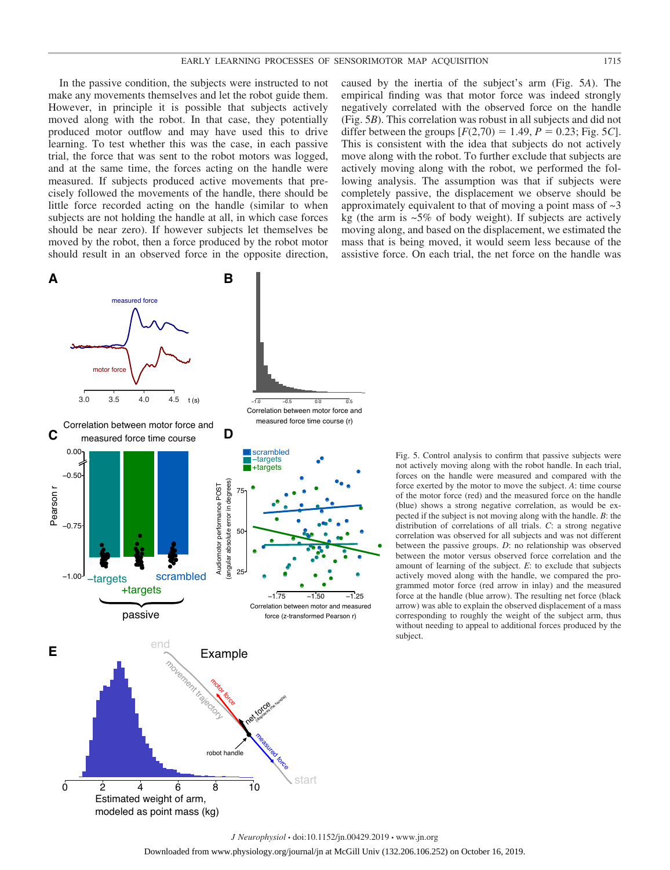In the passive condition, the subjects were instructed to not make any movements themselves and let the robot guide them. However, in principle it is possible that subjects actively moved along with the robot. In that case, they potentially produced motor outflow and may have used this to drive learning. To test whether this was the case, in each passive trial, the force that was sent to the robot motors was logged, and at the same time, the forces acting on the handle were measured. If subjects produced active movements that precisely followed the movements of the handle, there should be little force recorded acting on the handle (similar to when subjects are not holding the handle at all, in which case forces should be near zero). If however subjects let themselves be moved by the robot, then a force produced by the robot motor should result in an observed force in the opposite direction,



caused by the inertia of the subject's arm (Fig. 5*A*). The empirical finding was that motor force was indeed strongly negatively correlated with the observed force on the handle (Fig. 5*B*). This correlation was robust in all subjects and did not differ between the groups  $[F(2,70) = 1.49, P = 0.23; Fig. 5C]$ . This is consistent with the idea that subjects do not actively move along with the robot. To further exclude that subjects are actively moving along with the robot, we performed the following analysis. The assumption was that if subjects were completely passive, the displacement we observe should be approximately equivalent to that of moving a point mass of  $\sim$ 3 kg (the arm is  $\sim 5\%$  of body weight). If subjects are actively moving along, and based on the displacement, we estimated the mass that is being moved, it would seem less because of the assistive force. On each trial, the net force on the handle was

Fig. 5. Control analysis to confirm that passive subjects were not actively moving along with the robot handle. In each trial, forces on the handle were measured and compared with the force exerted by the motor to move the subject. *A*: time course of the motor force (red) and the measured force on the handle (blue) shows a strong negative correlation, as would be expected if the subject is not moving along with the handle. *B*: the distribution of correlations of all trials. *C*: a strong negative correlation was observed for all subjects and was not different between the passive groups. *D*: no relationship was observed between the motor versus observed force correlation and the amount of learning of the subject. *E*: to exclude that subjects actively moved along with the handle, we compared the programmed motor force (red arrow in inlay) and the measured force at the handle (blue arrow). The resulting net force (black arrow) was able to explain the observed displacement of a mass corresponding to roughly the weight of the subject arm, thus without needing to appeal to additional forces produced by the subject.

●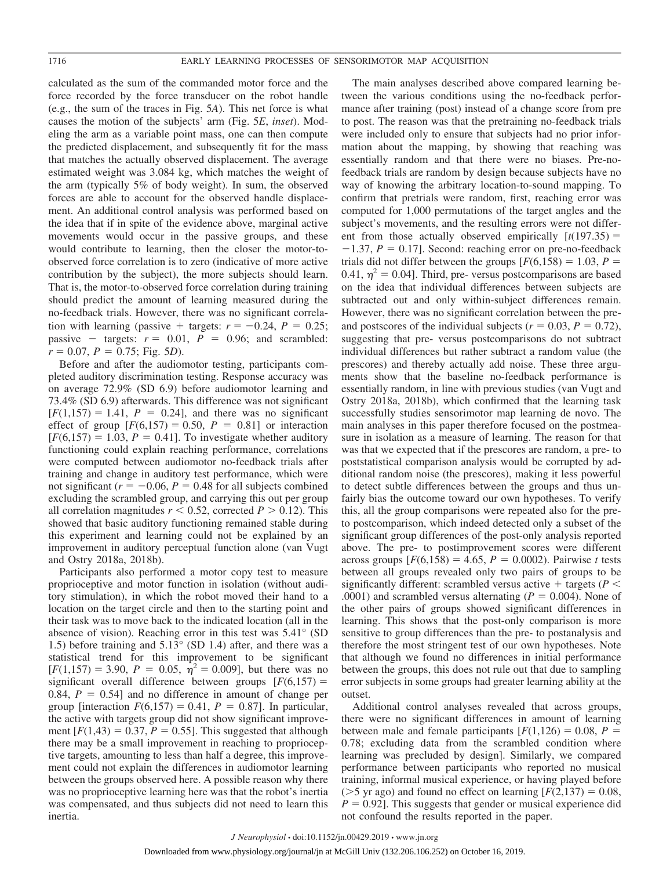calculated as the sum of the commanded motor force and the force recorded by the force transducer on the robot handle (e.g., the sum of the traces in Fig. 5*A*). This net force is what causes the motion of the subjects' arm (Fig. 5*E*, *inset*). Modeling the arm as a variable point mass, one can then compute the predicted displacement, and subsequently fit for the mass that matches the actually observed displacement. The average estimated weight was 3.084 kg, which matches the weight of the arm (typically 5% of body weight). In sum, the observed forces are able to account for the observed handle displacement. An additional control analysis was performed based on the idea that if in spite of the evidence above, marginal active movements would occur in the passive groups, and these would contribute to learning, then the closer the motor-toobserved force correlation is to zero (indicative of more active contribution by the subject), the more subjects should learn. That is, the motor-to-observed force correlation during training should predict the amount of learning measured during the no-feedback trials. However, there was no significant correlation with learning (passive  $+$  targets:  $r = -0.24$ ,  $P = 0.25$ ; passive  $-$  targets:  $r = 0.01$ ,  $P = 0.96$ ; and scrambled:  $r = 0.07$ ,  $P = 0.75$ ; Fig. 5*D*).

Before and after the audiomotor testing, participants completed auditory discrimination testing. Response accuracy was on average 72.9% (SD 6.9) before audiomotor learning and 73.4% (SD 6.9) afterwards. This difference was not significant  $[F(1,157) = 1.41, P = 0.24]$ , and there was no significant effect of group  $[F(6,157) = 0.50, P = 0.81]$  or interaction  $[F(6,157) = 1.03, P = 0.41]$ . To investigate whether auditory functioning could explain reaching performance, correlations were computed between audiomotor no-feedback trials after training and change in auditory test performance, which were not significant ( $r = -0.06$ ,  $P = 0.48$  for all subjects combined excluding the scrambled group, and carrying this out per group all correlation magnitudes  $r < 0.52$ , corrected  $P > 0.12$ ). This showed that basic auditory functioning remained stable during this experiment and learning could not be explained by an improvement in auditory perceptual function alone (van Vugt and Ostry 2018a, 2018b).

Participants also performed a motor copy test to measure proprioceptive and motor function in isolation (without auditory stimulation), in which the robot moved their hand to a location on the target circle and then to the starting point and their task was to move back to the indicated location (all in the absence of vision). Reaching error in this test was 5.41° (SD 1.5) before training and 5.13° (SD 1.4) after, and there was a statistical trend for this improvement to be significant  $[F(1,157) = 3.90, P = 0.05, \eta^2 = 0.009]$ , but there was no significant overall difference between groups  $[F(6,157) =$ 0.84,  $P = 0.54$ ] and no difference in amount of change per group [interaction  $F(6,157) = 0.41$ ,  $P = 0.87$ ]. In particular, the active with targets group did not show significant improvement  $[F(1,43) = 0.37, P = 0.55]$ . This suggested that although there may be a small improvement in reaching to proprioceptive targets, amounting to less than half a degree, this improvement could not explain the differences in audiomotor learning between the groups observed here. A possible reason why there was no proprioceptive learning here was that the robot's inertia was compensated, and thus subjects did not need to learn this inertia.

The main analyses described above compared learning between the various conditions using the no-feedback performance after training (post) instead of a change score from pre to post. The reason was that the pretraining no-feedback trials were included only to ensure that subjects had no prior information about the mapping, by showing that reaching was essentially random and that there were no biases. Pre-nofeedback trials are random by design because subjects have no way of knowing the arbitrary location-to-sound mapping. To confirm that pretrials were random, first, reaching error was computed for 1,000 permutations of the target angles and the subject's movements, and the resulting errors were not different from those actually observed empirically  $[t(197.35) =$  $-1.37$ ,  $P = 0.17$ . Second: reaching error on pre-no-feedback trials did not differ between the groups  $[F(6, 158) = 1.03, P =$ 0.41,  $\eta^2$  = 0.04]. Third, pre- versus postcomparisons are based on the idea that individual differences between subjects are subtracted out and only within-subject differences remain. However, there was no significant correlation between the preand postscores of the individual subjects ( $r = 0.03$ ,  $P = 0.72$ ), suggesting that pre- versus postcomparisons do not subtract individual differences but rather subtract a random value (the prescores) and thereby actually add noise. These three arguments show that the baseline no-feedback performance is essentially random, in line with previous studies (van Vugt and Ostry 2018a, 2018b), which confirmed that the learning task successfully studies sensorimotor map learning de novo. The main analyses in this paper therefore focused on the postmeasure in isolation as a measure of learning. The reason for that was that we expected that if the prescores are random, a pre- to poststatistical comparison analysis would be corrupted by additional random noise (the prescores), making it less powerful to detect subtle differences between the groups and thus unfairly bias the outcome toward our own hypotheses. To verify this, all the group comparisons were repeated also for the preto postcomparison, which indeed detected only a subset of the significant group differences of the post-only analysis reported above. The pre- to postimprovement scores were different across groups  $[F(6,158) = 4.65, P = 0.0002)$ . Pairwise *t* tests between all groups revealed only two pairs of groups to be significantly different: scrambled versus active  $+$  targets ( $P \le$ .0001) and scrambled versus alternating  $(P = 0.004)$ . None of the other pairs of groups showed significant differences in learning. This shows that the post-only comparison is more sensitive to group differences than the pre- to postanalysis and therefore the most stringent test of our own hypotheses. Note that although we found no differences in initial performance between the groups, this does not rule out that due to sampling error subjects in some groups had greater learning ability at the outset.

Additional control analyses revealed that across groups, there were no significant differences in amount of learning between male and female participants  $[F(1,126) = 0.08, P =$ 0.78; excluding data from the scrambled condition where learning was precluded by design]. Similarly, we compared performance between participants who reported no musical training, informal musical experience, or having played before ( $>$ 5 yr ago) and found no effect on learning [ $F(2,137) = 0.08$ ,  $P = 0.92$ . This suggests that gender or musical experience did not confound the results reported in the paper.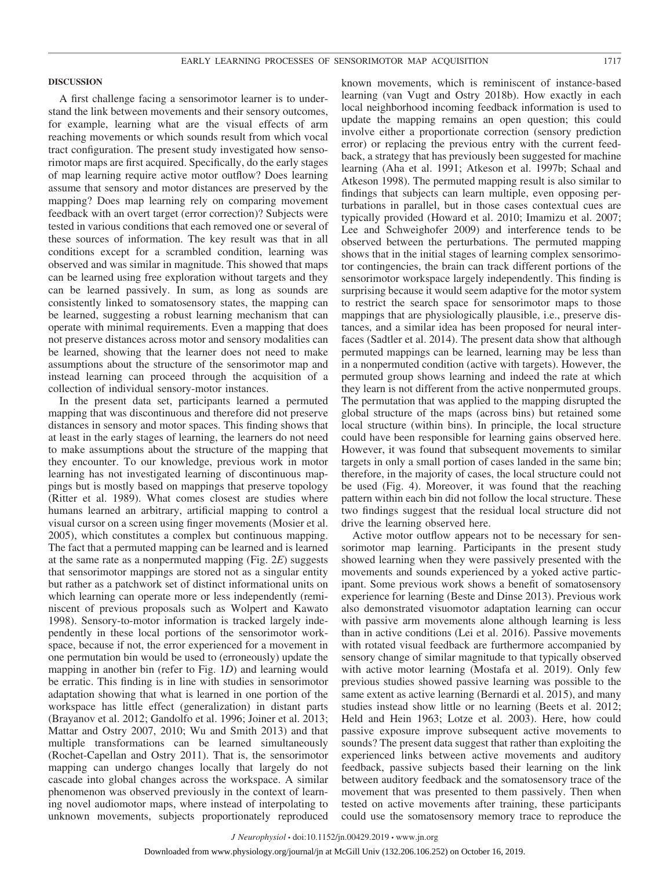#### **DISCUSSION**

A first challenge facing a sensorimotor learner is to understand the link between movements and their sensory outcomes, for example, learning what are the visual effects of arm reaching movements or which sounds result from which vocal tract configuration. The present study investigated how sensorimotor maps are first acquired. Specifically, do the early stages of map learning require active motor outflow? Does learning assume that sensory and motor distances are preserved by the mapping? Does map learning rely on comparing movement feedback with an overt target (error correction)? Subjects were tested in various conditions that each removed one or several of these sources of information. The key result was that in all conditions except for a scrambled condition, learning was observed and was similar in magnitude. This showed that maps can be learned using free exploration without targets and they can be learned passively. In sum, as long as sounds are consistently linked to somatosensory states, the mapping can be learned, suggesting a robust learning mechanism that can operate with minimal requirements. Even a mapping that does not preserve distances across motor and sensory modalities can be learned, showing that the learner does not need to make assumptions about the structure of the sensorimotor map and instead learning can proceed through the acquisition of a collection of individual sensory-motor instances.

In the present data set, participants learned a permuted mapping that was discontinuous and therefore did not preserve distances in sensory and motor spaces. This finding shows that at least in the early stages of learning, the learners do not need to make assumptions about the structure of the mapping that they encounter. To our knowledge, previous work in motor learning has not investigated learning of discontinuous mappings but is mostly based on mappings that preserve topology (Ritter et al. 1989). What comes closest are studies where humans learned an arbitrary, artificial mapping to control a visual cursor on a screen using finger movements (Mosier et al. 2005), which constitutes a complex but continuous mapping. The fact that a permuted mapping can be learned and is learned at the same rate as a nonpermuted mapping (Fig. 2*E*) suggests that sensorimotor mappings are stored not as a singular entity but rather as a patchwork set of distinct informational units on which learning can operate more or less independently (reminiscent of previous proposals such as Wolpert and Kawato 1998). Sensory-to-motor information is tracked largely independently in these local portions of the sensorimotor workspace, because if not, the error experienced for a movement in one permutation bin would be used to (erroneously) update the mapping in another bin (refer to Fig. 1*D*) and learning would be erratic. This finding is in line with studies in sensorimotor adaptation showing that what is learned in one portion of the workspace has little effect (generalization) in distant parts (Brayanov et al. 2012; Gandolfo et al. 1996; Joiner et al. 2013; Mattar and Ostry 2007, 2010; Wu and Smith 2013) and that multiple transformations can be learned simultaneously (Rochet-Capellan and Ostry 2011). That is, the sensorimotor mapping can undergo changes locally that largely do not cascade into global changes across the workspace. A similar phenomenon was observed previously in the context of learning novel audiomotor maps, where instead of interpolating to unknown movements, subjects proportionately reproduced

known movements, which is reminiscent of instance-based learning (van Vugt and Ostry 2018b). How exactly in each local neighborhood incoming feedback information is used to update the mapping remains an open question; this could involve either a proportionate correction (sensory prediction error) or replacing the previous entry with the current feedback, a strategy that has previously been suggested for machine learning (Aha et al. 1991; Atkeson et al. 1997b; Schaal and Atkeson 1998). The permuted mapping result is also similar to findings that subjects can learn multiple, even opposing perturbations in parallel, but in those cases contextual cues are typically provided (Howard et al. 2010; Imamizu et al. 2007; Lee and Schweighofer 2009) and interference tends to be observed between the perturbations. The permuted mapping shows that in the initial stages of learning complex sensorimotor contingencies, the brain can track different portions of the sensorimotor workspace largely independently. This finding is surprising because it would seem adaptive for the motor system to restrict the search space for sensorimotor maps to those mappings that are physiologically plausible, i.e., preserve distances, and a similar idea has been proposed for neural interfaces (Sadtler et al. 2014). The present data show that although permuted mappings can be learned, learning may be less than in a nonpermuted condition (active with targets). However, the permuted group shows learning and indeed the rate at which they learn is not different from the active nonpermuted groups. The permutation that was applied to the mapping disrupted the global structure of the maps (across bins) but retained some local structure (within bins). In principle, the local structure could have been responsible for learning gains observed here. However, it was found that subsequent movements to similar targets in only a small portion of cases landed in the same bin; therefore, in the majority of cases, the local structure could not be used (Fig. 4). Moreover, it was found that the reaching pattern within each bin did not follow the local structure. These two findings suggest that the residual local structure did not drive the learning observed here.

Active motor outflow appears not to be necessary for sensorimotor map learning. Participants in the present study showed learning when they were passively presented with the movements and sounds experienced by a yoked active participant. Some previous work shows a benefit of somatosensory experience for learning (Beste and Dinse 2013). Previous work also demonstrated visuomotor adaptation learning can occur with passive arm movements alone although learning is less than in active conditions (Lei et al. 2016). Passive movements with rotated visual feedback are furthermore accompanied by sensory change of similar magnitude to that typically observed with active motor learning (Mostafa et al. 2019). Only few previous studies showed passive learning was possible to the same extent as active learning (Bernardi et al. 2015), and many studies instead show little or no learning (Beets et al. 2012; Held and Hein 1963; Lotze et al. 2003). Here, how could passive exposure improve subsequent active movements to sounds? The present data suggest that rather than exploiting the experienced links between active movements and auditory feedback, passive subjects based their learning on the link between auditory feedback and the somatosensory trace of the movement that was presented to them passively. Then when tested on active movements after training, these participants could use the somatosensory memory trace to reproduce the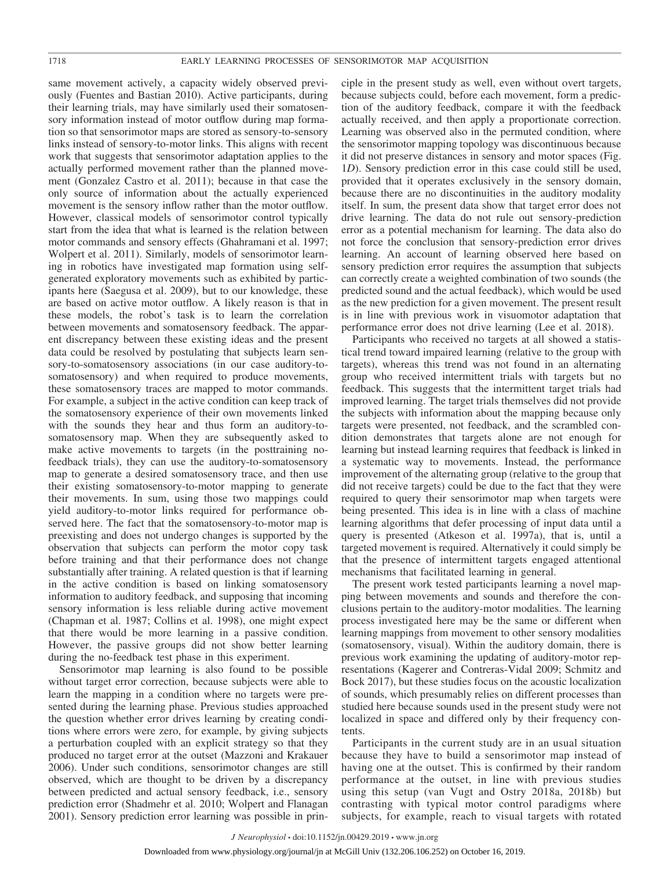same movement actively, a capacity widely observed previously (Fuentes and Bastian 2010). Active participants, during their learning trials, may have similarly used their somatosensory information instead of motor outflow during map formation so that sensorimotor maps are stored as sensory-to-sensory links instead of sensory-to-motor links. This aligns with recent work that suggests that sensorimotor adaptation applies to the actually performed movement rather than the planned movement (Gonzalez Castro et al. 2011); because in that case the only source of information about the actually experienced movement is the sensory inflow rather than the motor outflow. However, classical models of sensorimotor control typically start from the idea that what is learned is the relation between motor commands and sensory effects (Ghahramani et al. 1997; Wolpert et al. 2011). Similarly, models of sensorimotor learning in robotics have investigated map formation using selfgenerated exploratory movements such as exhibited by participants here (Saegusa et al. 2009), but to our knowledge, these are based on active motor outflow. A likely reason is that in these models, the robot's task is to learn the correlation between movements and somatosensory feedback. The apparent discrepancy between these existing ideas and the present data could be resolved by postulating that subjects learn sensory-to-somatosensory associations (in our case auditory-tosomatosensory) and when required to produce movements, these somatosensory traces are mapped to motor commands. For example, a subject in the active condition can keep track of the somatosensory experience of their own movements linked with the sounds they hear and thus form an auditory-tosomatosensory map. When they are subsequently asked to make active movements to targets (in the posttraining nofeedback trials), they can use the auditory-to-somatosensory map to generate a desired somatosensory trace, and then use their existing somatosensory-to-motor mapping to generate their movements. In sum, using those two mappings could yield auditory-to-motor links required for performance observed here. The fact that the somatosensory-to-motor map is preexisting and does not undergo changes is supported by the observation that subjects can perform the motor copy task before training and that their performance does not change substantially after training. A related question is that if learning in the active condition is based on linking somatosensory information to auditory feedback, and supposing that incoming sensory information is less reliable during active movement (Chapman et al. 1987; Collins et al. 1998), one might expect that there would be more learning in a passive condition. However, the passive groups did not show better learning during the no-feedback test phase in this experiment.

Sensorimotor map learning is also found to be possible without target error correction, because subjects were able to learn the mapping in a condition where no targets were presented during the learning phase. Previous studies approached the question whether error drives learning by creating conditions where errors were zero, for example, by giving subjects a perturbation coupled with an explicit strategy so that they produced no target error at the outset (Mazzoni and Krakauer 2006). Under such conditions, sensorimotor changes are still observed, which are thought to be driven by a discrepancy between predicted and actual sensory feedback, i.e., sensory prediction error (Shadmehr et al. 2010; Wolpert and Flanagan 2001). Sensory prediction error learning was possible in prin-

ciple in the present study as well, even without overt targets, because subjects could, before each movement, form a prediction of the auditory feedback, compare it with the feedback actually received, and then apply a proportionate correction. Learning was observed also in the permuted condition, where the sensorimotor mapping topology was discontinuous because it did not preserve distances in sensory and motor spaces (Fig. 1*D*). Sensory prediction error in this case could still be used, provided that it operates exclusively in the sensory domain, because there are no discontinuities in the auditory modality itself. In sum, the present data show that target error does not drive learning. The data do not rule out sensory-prediction error as a potential mechanism for learning. The data also do not force the conclusion that sensory-prediction error drives learning. An account of learning observed here based on sensory prediction error requires the assumption that subjects can correctly create a weighted combination of two sounds (the predicted sound and the actual feedback), which would be used as the new prediction for a given movement. The present result is in line with previous work in visuomotor adaptation that performance error does not drive learning (Lee et al. 2018).

Participants who received no targets at all showed a statistical trend toward impaired learning (relative to the group with targets), whereas this trend was not found in an alternating group who received intermittent trials with targets but no feedback. This suggests that the intermittent target trials had improved learning. The target trials themselves did not provide the subjects with information about the mapping because only targets were presented, not feedback, and the scrambled condition demonstrates that targets alone are not enough for learning but instead learning requires that feedback is linked in a systematic way to movements. Instead, the performance improvement of the alternating group (relative to the group that did not receive targets) could be due to the fact that they were required to query their sensorimotor map when targets were being presented. This idea is in line with a class of machine learning algorithms that defer processing of input data until a query is presented (Atkeson et al. 1997a), that is, until a targeted movement is required. Alternatively it could simply be that the presence of intermittent targets engaged attentional mechanisms that facilitated learning in general.

The present work tested participants learning a novel mapping between movements and sounds and therefore the conclusions pertain to the auditory-motor modalities. The learning process investigated here may be the same or different when learning mappings from movement to other sensory modalities (somatosensory, visual). Within the auditory domain, there is previous work examining the updating of auditory-motor representations (Kagerer and Contreras-Vidal 2009; Schmitz and Bock 2017), but these studies focus on the acoustic localization of sounds, which presumably relies on different processes than studied here because sounds used in the present study were not localized in space and differed only by their frequency contents.

Participants in the current study are in an usual situation because they have to build a sensorimotor map instead of having one at the outset. This is confirmed by their random performance at the outset, in line with previous studies using this setup (van Vugt and Ostry 2018a, 2018b) but contrasting with typical motor control paradigms where subjects, for example, reach to visual targets with rotated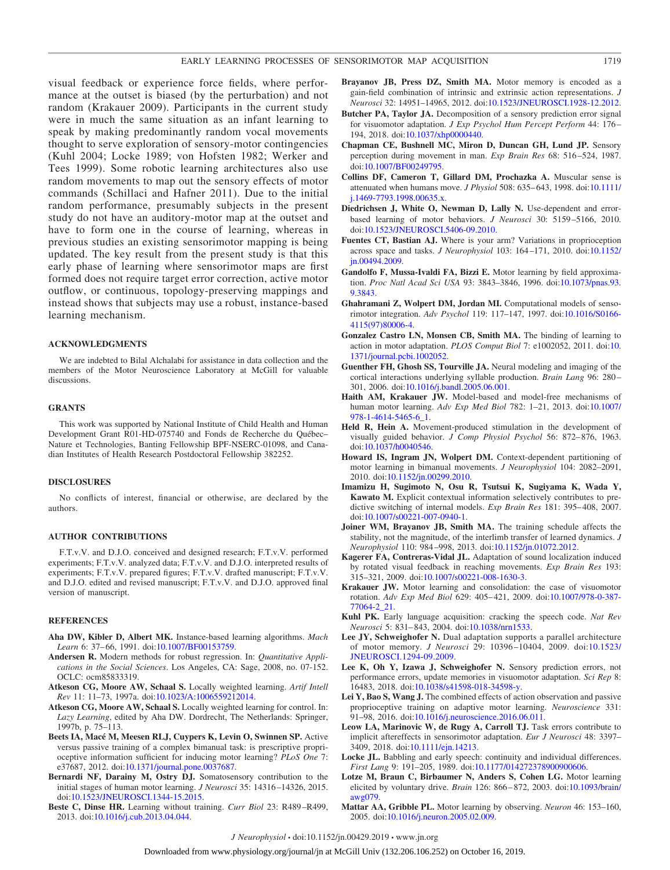visual feedback or experience force fields, where performance at the outset is biased (by the perturbation) and not random (Krakauer 2009). Participants in the current study were in much the same situation as an infant learning to speak by making predominantly random vocal movements thought to serve exploration of sensory-motor contingencies (Kuhl 2004; Locke 1989; von Hofsten 1982; Werker and Tees 1999). Some robotic learning architectures also use random movements to map out the sensory effects of motor commands (Schillaci and Hafner 2011). Due to the initial random performance, presumably subjects in the present study do not have an auditory-motor map at the outset and have to form one in the course of learning, whereas in previous studies an existing sensorimotor mapping is being updated. The key result from the present study is that this early phase of learning where sensorimotor maps are first formed does not require target error correction, active motor outflow, or continuous, topology-preserving mappings and instead shows that subjects may use a robust, instance-based learning mechanism.

#### **ACKNOWLEDGMENTS**

We are indebted to Bilal Alchalabi for assistance in data collection and the members of the Motor Neuroscience Laboratory at McGill for valuable discussions.

#### **GRANTS**

This work was supported by National Institute of Child Health and Human Development Grant R01-HD-075740 and Fonds de Recherche du Québec– Nature et Technologies, Banting Fellowship BPF-NSERC-01098, and Canadian Institutes of Health Research Postdoctoral Fellowship 382252.

#### **DISCLOSURES**

No conflicts of interest, financial or otherwise, are declared by the authors.

#### **AUTHOR CONTRIBUTIONS**

F.T.v.V. and D.J.O. conceived and designed research; F.T.v.V. performed experiments; F.T.v.V. analyzed data; F.T.v.V. and D.J.O. interpreted results of experiments; F.T.v.V. prepared figures; F.T.v.V. drafted manuscript; F.T.v.V. and D.J.O. edited and revised manuscript; F.T.v.V. and D.J.O. approved final version of manuscript.

#### **REFERENCES**

- **Aha DW, Kibler D, Albert MK.** Instance-based learning algorithms. *Mach* Learn 6: 37-66, 1991. doi[:10.1007/BF00153759.](https://doi.org/10.1007/BF00153759)
- **Andersen R.** Modern methods for robust regression. In: *Quantitative Applications in the Social Sciences*. Los Angeles, CA: Sage, 2008, no. 07-152. OCLC: ocm85833319.
- **Atkeson CG, Moore AW, Schaal S.** Locally weighted learning. *Artif Intell Rev* 11: 11–73, 1997a. doi[:10.1023/A:1006559212014.](https://doi.org/10.1023/A:1006559212014)
- **Atkeson CG, Moore AW, Schaal S.** Locally weighted learning for control. In: *Lazy Learning*, edited by Aha DW. Dordrecht, The Netherlands: Springer, 1997b, p. 75–113.
- **Beets IA, Macé M, Meesen RLJ, Cuypers K, Levin O, Swinnen SP.** Active versus passive training of a complex bimanual task: is prescriptive proprioceptive information sufficient for inducing motor learning? *PLoS One* 7: e37687, 2012. doi[:10.1371/journal.pone.0037687.](https://doi.org/10.1371/journal.pone.0037687)
- **Bernardi NF, Darainy M, Ostry DJ.** Somatosensory contribution to the initial stages of human motor learning. *J Neurosci* 35: 14316 –14326, 2015. doi[:10.1523/JNEUROSCI.1344-15.2015.](https://doi.org/10.1523/JNEUROSCI.1344-15.2015)
- **Beste C, Dinse HR.** Learning without training. *Curr Biol* 23: R489 –R499, 2013. doi[:10.1016/j.cub.2013.04.044.](https://doi.org/10.1016/j.cub.2013.04.044)
- **Brayanov JB, Press DZ, Smith MA.** Motor memory is encoded as a gain-field combination of intrinsic and extrinsic action representations. *J Neurosci* 32: 14951–14965, 2012. doi[:10.1523/JNEUROSCI.1928-12.2012.](https://doi.org/10.1523/JNEUROSCI.1928-12.2012)
- **Butcher PA, Taylor JA.** Decomposition of a sensory prediction error signal for visuomotor adaptation. *J Exp Psychol Hum Percept Perform* 44: 176 – 194, 2018. doi[:10.1037/xhp0000440.](https://doi.org/10.1037/xhp0000440)
- **Chapman CE, Bushnell MC, Miron D, Duncan GH, Lund JP.** Sensory perception during movement in man. *Exp Brain Res* 68: 516 –524, 1987. doi[:10.1007/BF00249795.](https://doi.org/10.1007/BF00249795)
- **Collins DF, Cameron T, Gillard DM, Prochazka A.** Muscular sense is attenuated when humans move. *J Physiol* 508: 635– 643, 1998. doi[:10.1111/](https://doi.org/10.1111/j.1469-7793.1998.00635.x) [j.1469-7793.1998.00635.x.](https://doi.org/10.1111/j.1469-7793.1998.00635.x)
- **Diedrichsen J, White O, Newman D, Lally N.** Use-dependent and errorbased learning of motor behaviors. *J Neurosci* 30: 5159 –5166, 2010. doi[:10.1523/JNEUROSCI.5406-09.2010.](https://doi.org/10.1523/JNEUROSCI.5406-09.2010)
- **Fuentes CT, Bastian AJ.** Where is your arm? Variations in proprioception across space and tasks. *J Neurophysiol* 103: 164 –171, 2010. doi[:10.1152/](https://doi.org/10.1152/jn.00494.2009) [jn.00494.2009.](https://doi.org/10.1152/jn.00494.2009)
- **Gandolfo F, Mussa-Ivaldi FA, Bizzi E.** Motor learning by field approximation. *Proc Natl Acad Sci USA* 93: 3843–3846, 1996. doi[:10.1073/pnas.93.](https://doi.org/10.1073/pnas.93.9.3843) [9.3843.](https://doi.org/10.1073/pnas.93.9.3843)
- **Ghahramani Z, Wolpert DM, Jordan MI.** Computational models of sensorimotor integration. *Adv Psychol* 119: 117–147, 1997. doi[:10.1016/S0166-](https://doi.org/10.1016/S0166-4115(97)80006-4) [4115\(97\)80006-4.](https://doi.org/10.1016/S0166-4115(97)80006-4)
- **Gonzalez Castro LN, Monsen CB, Smith MA.** The binding of learning to action in motor adaptation. *PLOS Comput Biol* 7: e1002052, 2011. doi[:10.](https://doi.org/10.1371/journal.pcbi.1002052) [1371/journal.pcbi.1002052.](https://doi.org/10.1371/journal.pcbi.1002052)
- **Guenther FH, Ghosh SS, Tourville JA.** Neural modeling and imaging of the cortical interactions underlying syllable production. *Brain Lang* 96: 280 – 301, 2006. doi[:10.1016/j.bandl.2005.06.001.](https://doi.org/10.1016/j.bandl.2005.06.001)
- **Haith AM, Krakauer JW.** Model-based and model-free mechanisms of human motor learning. *Adv Exp Med Biol* 782: 1–21, 2013. doi[:10.1007/](https://doi.org/10.1007/978-1-4614-5465-6_1) [978-1-4614-5465-6\\_1.](https://doi.org/10.1007/978-1-4614-5465-6_1)
- **Held R, Hein A.** Movement-produced stimulation in the development of visually guided behavior. *J Comp Physiol Psychol* 56: 872-876, 1963. doi[:10.1037/h0040546.](https://doi.org/10.1037/h0040546)
- **Howard IS, Ingram JN, Wolpert DM.** Context-dependent partitioning of motor learning in bimanual movements. *J Neurophysiol* 104: 2082–2091, 2010. doi[:10.1152/jn.00299.2010.](https://doi.org/10.1152/jn.00299.2010)
- **Imamizu H, Sugimoto N, Osu R, Tsutsui K, Sugiyama K, Wada Y, Kawato M.** Explicit contextual information selectively contributes to predictive switching of internal models. *Exp Brain Res* 181: 395– 408, 2007. doi[:10.1007/s00221-007-0940-1.](https://doi.org/10.1007/s00221-007-0940-1)
- **Joiner WM, Brayanov JB, Smith MA.** The training schedule affects the stability, not the magnitude, of the interlimb transfer of learned dynamics. *J Neurophysiol* 110: 984 –998, 2013. doi[:10.1152/jn.01072.2012.](https://doi.org/10.1152/jn.01072.2012)
- **Kagerer FA, Contreras-Vidal JL.** Adaptation of sound localization induced by rotated visual feedback in reaching movements. *Exp Brain Res* 193: 315–321, 2009. doi[:10.1007/s00221-008-1630-3.](https://doi.org/10.1007/s00221-008-1630-3)
- **Krakauer JW.** Motor learning and consolidation: the case of visuomotor rotation. *Adv Exp Med Biol* 629: 405– 421, 2009. doi[:10.1007/978-0-387-](https://doi.org/10.1007/978-0-387-77064-2_21) [77064-2\\_21.](https://doi.org/10.1007/978-0-387-77064-2_21)
- **Kuhl PK.** Early language acquisition: cracking the speech code. *Nat Rev Neurosci* 5: 831– 843, 2004. doi[:10.1038/nrn1533.](https://doi.org/10.1038/nrn1533)
- **Lee JY, Schweighofer N.** Dual adaptation supports a parallel architecture of motor memory. *J Neurosci* 29: 10396 –10404, 2009. doi[:10.1523/](https://doi.org/10.1523/JNEUROSCI.1294-09.2009) [JNEUROSCI.1294-09.2009.](https://doi.org/10.1523/JNEUROSCI.1294-09.2009)
- **Lee K, Oh Y, Izawa J, Schweighofer N.** Sensory prediction errors, not performance errors, update memories in visuomotor adaptation. *Sci Rep* 8: 16483, 2018. doi[:10.1038/s41598-018-34598-y.](https://doi.org/10.1038/s41598-018-34598-y)
- **Lei Y, Bao S, Wang J.** The combined effects of action observation and passive proprioceptive training on adaptive motor learning. *Neuroscience* 331: 91–98, 2016. doi[:10.1016/j.neuroscience.2016.06.011.](https://doi.org/10.1016/j.neuroscience.2016.06.011)
- **Leow LA, Marinovic W, de Rugy A, Carroll TJ.** Task errors contribute to implicit aftereffects in sensorimotor adaptation. *Eur J Neurosci* 48: 3397– 3409, 2018. doi[:10.1111/ejn.14213.](https://doi.org/10.1111/ejn.14213)
- Locke JL. Babbling and early speech: continuity and individual differences. *First Lang* 9: 191–205, 1989. doi[:10.1177/014272378900900606.](https://doi.org/10.1177/014272378900900606)
- **Lotze M, Braun C, Birbaumer N, Anders S, Cohen LG.** Motor learning elicited by voluntary drive. *Brain* 126: 866 – 872, 2003. doi[:10.1093/brain/](https://doi.org/10.1093/brain/awg079) [awg079.](https://doi.org/10.1093/brain/awg079)
- **Mattar AA, Gribble PL.** Motor learning by observing. *Neuron* 46: 153–160, 2005. doi[:10.1016/j.neuron.2005.02.009.](https://doi.org/10.1016/j.neuron.2005.02.009)